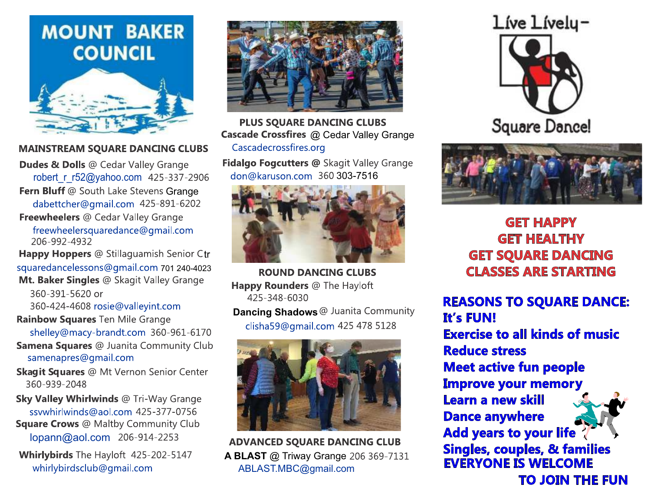# **MOUNT BAKER COUNCIL**



## **MAINSTREAM SQUARE DANCING CLUBS**

**Dudes & Dolls @ Cedar Valley Grange** robert r r52@yahoo.com 425-337-2906 Fern Bluff @ South Lake Stevens Grange dabettcher@gmail.com 425-891-6202 Freewheelers @ Cedar Valley Grange freewheelersquaredance@gmail.com 206-992-4932

Happy Hoppers @ Stillaguamish Senior Ctr squaredancelessons@gmail.com 701 240-4023 Mt. Baker Singles @ Skagit Valley Grange

360-391-5620 or 360-424-4608 rosie@valleyint.com

Rainbow Squares Ten Mile Grange shelley@macy-brandt.com 360-961-6170

**Samena Squares @ Juanita Community Club** samenapres@gmail.com

**Skagit Squares @ Mt Vernon Senior Center** 360-939-2048

Sky Valley Whirlwinds @ Tri-Way Grange ssywhirlwinds@aol.com 425-377-0756 **Square Crows** @ Maltby Community Club lopann@aol.com 206-914-2253

Whirlybirds The Hayloft 425-202-5147 whirlybirdsclub@gmail.com



**PLUS SOUARE DANCING CLUBS** Cascade Crossfires @ Cedar Valley Grange Cascadecrossfires.org

Fidalgo Fogcutters @ Skagit Valley Grange don@karuson.com 360 303-7516



**ROUND DANCING CLUBS Happy Rounders @ The Hayloft** 425-348-6030

**Dancing Shadows** @ Juanita Community clisha59@gmail.com 425 478 5128



**ADVANCED SQUARE DANCING CLUB A BLAST** @ Triway Grange 206 369-7131 ABLAST.MBC@gmail.com





**GET HAPPY GET HEALTHY GET SQUARE DANCING CLASSES ARE STARTING** 

**REASONS TO SQUARE DANCE: It's FUN! Exercise to all kinds of music Reduce stress Meet active fun people Improve your memory** Learn a new skill **Dance anywhere Add years to your life Singles, couples, & families EVERYONE IS WELCOME TO JOIN THE FUN**